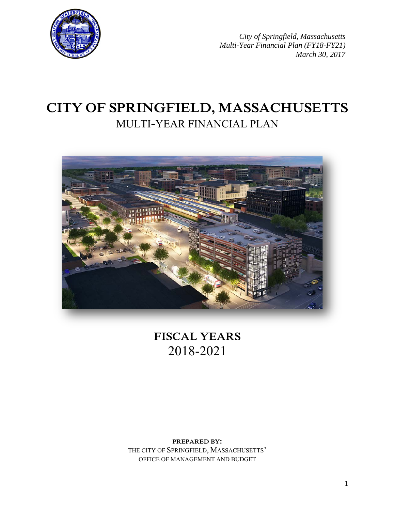

*City of Springfield, Massachusetts Multi-Year Financial Plan (FY18-FY21) March 30, 2017*

# **CITY OF SPRINGFIELD, MASSACHUSETTS** MULTI-YEAR FINANCIAL PLAN



**FISCAL YEARS** 2018-2021

**PREPARED BY:** THE CITY OF SPRINGFIELD, MASSACHUSETTS' OFFICE OF MANAGEMENT AND BUDGET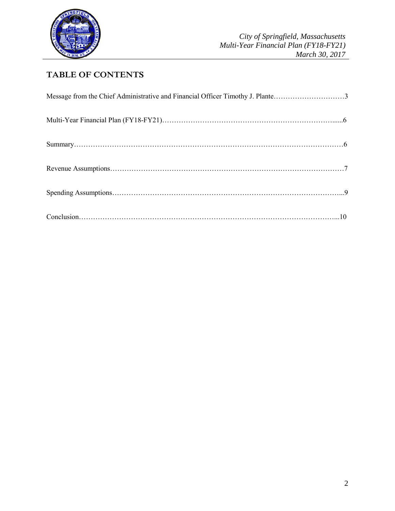

# **TABLE OF CONTENTS**

| Message from the Chief Administrative and Financial Officer Timothy J. Plante3 |  |
|--------------------------------------------------------------------------------|--|
|                                                                                |  |
|                                                                                |  |
|                                                                                |  |
|                                                                                |  |
|                                                                                |  |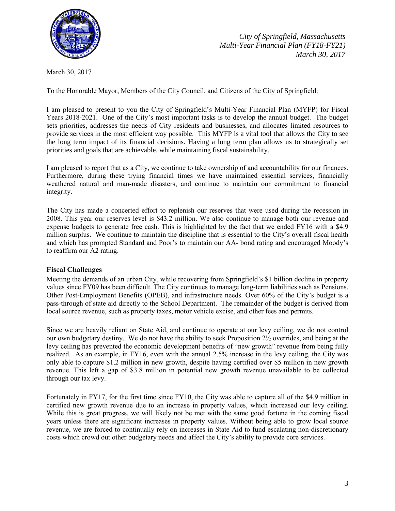

March 30, 2017

To the Honorable Mayor, Members of the City Council, and Citizens of the City of Springfield:

I am pleased to present to you the City of Springfield's Multi-Year Financial Plan (MYFP) for Fiscal Years 2018-2021. One of the City's most important tasks is to develop the annual budget. The budget sets priorities, addresses the needs of City residents and businesses, and allocates limited resources to provide services in the most efficient way possible. This MYFP is a vital tool that allows the City to see the long term impact of its financial decisions. Having a long term plan allows us to strategically set priorities and goals that are achievable, while maintaining fiscal sustainability.

I am pleased to report that as a City, we continue to take ownership of and accountability for our finances. Furthermore, during these trying financial times we have maintained essential services, financially weathered natural and man-made disasters, and continue to maintain our commitment to financial integrity.

The City has made a concerted effort to replenish our reserves that were used during the recession in 2008. This year our reserves level is \$43.2 million. We also continue to manage both our revenue and expense budgets to generate free cash. This is highlighted by the fact that we ended FY16 with a \$4.9 million surplus. We continue to maintain the discipline that is essential to the City's overall fiscal health and which has prompted Standard and Poor's to maintain our AA- bond rating and encouraged Moody's to reaffirm our A2 rating.

# **Fiscal Challenges**

Meeting the demands of an urban City, while recovering from Springfield's \$1 billion decline in property values since FY09 has been difficult. The City continues to manage long-term liabilities such as Pensions, Other Post-Employment Benefits (OPEB), and infrastructure needs. Over 60% of the City's budget is a pass-through of state aid directly to the School Department. The remainder of the budget is derived from local source revenue, such as property taxes, motor vehicle excise, and other fees and permits.

Since we are heavily reliant on State Aid, and continue to operate at our levy ceiling, we do not control our own budgetary destiny. We do not have the ability to seek Proposition  $2\frac{1}{2}$  overrides, and being at the levy ceiling has prevented the economic development benefits of "new growth" revenue from being fully realized. As an example, in FY16, even with the annual 2.5% increase in the levy ceiling, the City was only able to capture \$1.2 million in new growth, despite having certified over \$5 million in new growth revenue. This left a gap of \$3.8 million in potential new growth revenue unavailable to be collected through our tax levy.

Fortunately in FY17, for the first time since FY10, the City was able to capture all of the \$4.9 million in certified new growth revenue due to an increase in property values, which increased our levy ceiling. While this is great progress, we will likely not be met with the same good fortune in the coming fiscal years unless there are significant increases in property values. Without being able to grow local source revenue, we are forced to continually rely on increases in State Aid to fund escalating non-discretionary costs which crowd out other budgetary needs and affect the City's ability to provide core services.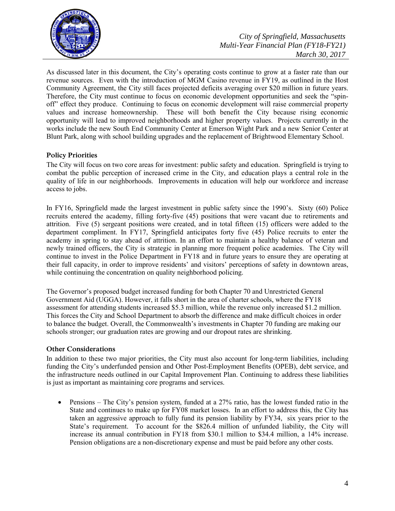

As discussed later in this document, the City's operating costs continue to grow at a faster rate than our revenue sources. Even with the introduction of MGM Casino revenue in FY19, as outlined in the Host Community Agreement, the City still faces projected deficits averaging over \$20 million in future years. Therefore, the City must continue to focus on economic development opportunities and seek the "spinoff" effect they produce. Continuing to focus on economic development will raise commercial property values and increase homeownership. These will both benefit the City because rising economic opportunity will lead to improved neighborhoods and higher property values. Projects currently in the works include the new South End Community Center at Emerson Wight Park and a new Senior Center at Blunt Park, along with school building upgrades and the replacement of Brightwood Elementary School.

# **Policy Priorities**

The City will focus on two core areas for investment: public safety and education. Springfield is trying to combat the public perception of increased crime in the City, and education plays a central role in the quality of life in our neighborhoods. Improvements in education will help our workforce and increase access to jobs.

In FY16, Springfield made the largest investment in public safety since the 1990's. Sixty (60) Police recruits entered the academy, filling forty-five (45) positions that were vacant due to retirements and attrition. Five (5) sergeant positions were created, and in total fifteen (15) officers were added to the department compliment. In FY17, Springfield anticipates forty five (45) Police recruits to enter the academy in spring to stay ahead of attrition. In an effort to maintain a healthy balance of veteran and newly trained officers, the City is strategic in planning more frequent police academies. The City will continue to invest in the Police Department in FY18 and in future years to ensure they are operating at their full capacity, in order to improve residents' and visitors' perceptions of safety in downtown areas, while continuing the concentration on quality neighborhood policing.

The Governor's proposed budget increased funding for both Chapter 70 and Unrestricted General Government Aid (UGGA). However, it falls short in the area of charter schools, where the FY18 assessment for attending students increased \$5.3 million, while the revenue only increased \$1.2 million. This forces the City and School Department to absorb the difference and make difficult choices in order to balance the budget. Overall, the Commonwealth's investments in Chapter 70 funding are making our schools stronger; our graduation rates are growing and our dropout rates are shrinking.

# **Other Considerations**

In addition to these two major priorities, the City must also account for long-term liabilities, including funding the City's underfunded pension and Other Post-Employment Benefits (OPEB), debt service, and the infrastructure needs outlined in our Capital Improvement Plan. Continuing to address these liabilities is just as important as maintaining core programs and services.

• Pensions – The City's pension system, funded at a 27% ratio, has the lowest funded ratio in the State and continues to make up for FY08 market losses. In an effort to address this, the City has taken an aggressive approach to fully fund its pension liability by FY34, six years prior to the State's requirement. To account for the \$826.4 million of unfunded liability, the City will increase its annual contribution in FY18 from \$30.1 million to \$34.4 million, a 14% increase. Pension obligations are a non-discretionary expense and must be paid before any other costs.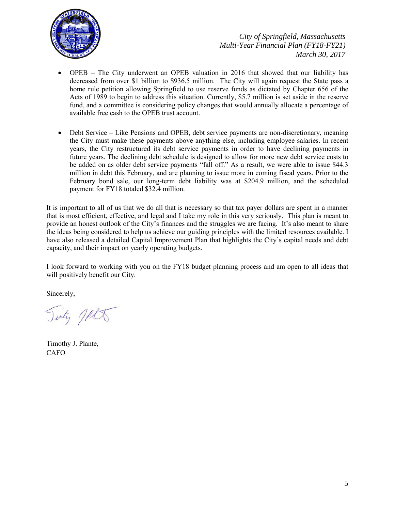

- OPEB The City underwent an OPEB valuation in 2016 that showed that our liability has decreased from over \$1 billion to \$936.5 million. The City will again request the State pass a home rule petition allowing Springfield to use reserve funds as dictated by Chapter 656 of the Acts of 1989 to begin to address this situation. Currently, \$5.7 million is set aside in the reserve fund, and a committee is considering policy changes that would annually allocate a percentage of available free cash to the OPEB trust account.
- Debt Service Like Pensions and OPEB, debt service payments are non-discretionary, meaning the City must make these payments above anything else, including employee salaries. In recent years, the City restructured its debt service payments in order to have declining payments in future years. The declining debt schedule is designed to allow for more new debt service costs to be added on as older debt service payments "fall off." As a result, we were able to issue \$44.3 million in debt this February, and are planning to issue more in coming fiscal years. Prior to the February bond sale, our long-term debt liability was at \$204.9 million, and the scheduled payment for FY18 totaled \$32.4 million.

It is important to all of us that we do all that is necessary so that tax payer dollars are spent in a manner that is most efficient, effective, and legal and I take my role in this very seriously. This plan is meant to provide an honest outlook of the City's finances and the struggles we are facing. It's also meant to share the ideas being considered to help us achieve our guiding principles with the limited resources available. I have also released a detailed Capital Improvement Plan that highlights the City's capital needs and debt capacity, and their impact on yearly operating budgets.

I look forward to working with you on the FY18 budget planning process and am open to all ideas that will positively benefit our City.

Sincerely,

Tinty JALA

Timothy J. Plante, CAFO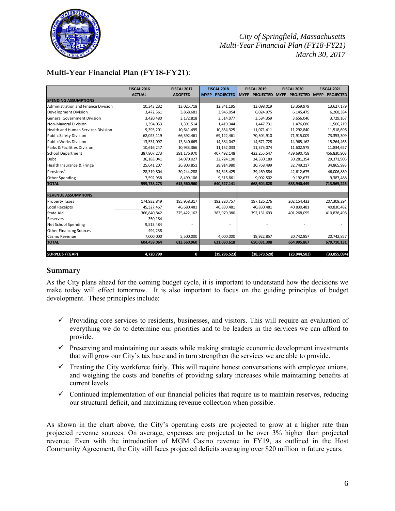

# *City of Springfield, Massachusetts Multi-Year Financial Plan (FY18-FY21) March 30, 2017*

# **Multi-Year Financial Plan (FY18-FY21)**:

|                                           | <b>FISCAL 2016</b> | <b>FISCAL 2017</b> | <b>FISCAL 2018</b>      | <b>FISCAL 2019</b>      | <b>FISCAL 2020</b>      | <b>FISCAL 2021</b>      |
|-------------------------------------------|--------------------|--------------------|-------------------------|-------------------------|-------------------------|-------------------------|
|                                           | <b>ACTUAL</b>      | <b>ADOPTED</b>     | <b>MYFP - PROJECTED</b> | <b>MYFP - PROJECTED</b> | <b>MYFP - PROJECTED</b> | <b>MYFP - PROJECTED</b> |
| <b>SPENDING ASSUMPTIONS</b>               |                    |                    |                         |                         |                         |                         |
| Administration and Finance Division       | 10,343,232         | 13,025,718         | 12,841,195              | 13,098,019              | 13,359,979              | 13,627,179              |
| <b>Development Division</b>               | 3,472,561          | 3,868,681          | 3,946,054               | 6,024,975               | 6,145,475               | 6,268,384               |
| <b>General Government Division</b>        | 3,420,480          | 3,172,818          | 3,514,077               | 3,584,359               | 3,656,046               | 3,729,167               |
| Non-Mayoral Division                      | 1,394,053          | 1,391,514          | 1,419,344               | 1,447,731               | 1,476,686               | 1,506,219               |
| <b>Health and Human Services Division</b> | 9,393,201          | 10,641,495         | 10,854,325              | 11,071,411              | 11,292,840              | 11,518,696              |
| <b>Public Safety Division</b>             | 62,023,119         | 66,392,461         | 69,122,461              | 70,504,910              | 71,915,009              | 73,353,309              |
| Public Works Division                     | 13,531,097         | 13,340,665         | 14,384,047              | 14,671,728              | 14,965,162              | 15,264,465              |
| Parks & Facilities Division               | 10,616,247         | 10,933,366         | 11, 152, 033            | 11,375,074              | 11,602,575              | 11,834,627              |
| <b>School Department</b>                  | 387,807,273        | 391,176,970        | 407,492,148             | 423, 255, 547           | 439,690,758             | 456,830,903             |
| Debt                                      | 36,183,041         | 34,070,027         | 32,724,190              | 34,330,189              | 30,281,354              | 29,371,905              |
| Health Insurance & Fringe                 | 25,641,207         | 26,803,851         | 28,914,980              | 30,768,499              | 32,749,217              | 34,865,993              |
| Pensions <sup>+</sup>                     | 28,319,804         | 30,244,288         | 34,645,425              | 39,469,884              | 42,612,675              | 46,006,889              |
| Other Spending                            | 7,592,958          | 8,499,106          | 9,316,861               | 9,002,502               | 9,192,673               | 9,387,488               |
| <b>TOTAL</b>                              | 599,738,273        | 613,560,960        | 640,327,141             | 668,604,828             | 688,940,449             | 713,565,225             |
|                                           |                    |                    |                         |                         |                         |                         |
| <b>REVENUE ASSUMPTIONS</b>                |                    |                    |                         |                         |                         |                         |
| <b>Property Taxes</b>                     | 174,932,849        | 185,958,317        | 192, 220, 757           | 197, 126, 276           | 202,154,433             | 207,308,294             |
| Local Receipts                            | 45,327,467         | 46,680,481         | 40,830,481              | 40,830,481              | 40,830,481              | 40,830,482              |
| <b>State Aid</b>                          | 366,840,842        | 375,422,162        | 383,979,380             | 392, 151, 693           | 401,268,095             | 410,828,498             |
| Reserves                                  | 350,184            |                    |                         |                         |                         |                         |
| Net School Spending                       | 9,513,484          |                    |                         |                         |                         |                         |
| <b>Other Financing Sources</b>            | 494,238            |                    |                         |                         |                         |                         |
| Casino Revenue                            | 7,000,000          | 5,500,000          | 4,000,000               | 19,922,857              | 20,742,857              | 20,742,857              |
| <b>TOTAL</b>                              | 604,459,064        | 613,560,960        | 621,030,618             | 650,031,308             | 664,995,867             | 679,710,131             |
| <b>SURPLUS / (GAP)</b>                    | 4,720,790          | 0                  | (19, 296, 523)          | (18, 573, 520)          | (23, 944, 583)          | (33,855,094)            |

# **Summary**

As the City plans ahead for the coming budget cycle, it is important to understand how the decisions we make today will effect tomorrow. It is also important to focus on the guiding principles of budget development. These principles include:

- $\checkmark$  Providing core services to residents, businesses, and visitors. This will require an evaluation of everything we do to determine our priorities and to be leaders in the services we can afford to provide.
- $\checkmark$  Preserving and maintaining our assets while making strategic economic development investments that will grow our City's tax base and in turn strengthen the services we are able to provide.
- $\checkmark$  Treating the City workforce fairly. This will require honest conversations with employee unions, and weighing the costs and benefits of providing salary increases while maintaining benefits at current levels.
- $\checkmark$  Continued implementation of our financial policies that require us to maintain reserves, reducing our structural deficit, and maximizing revenue collection when possible.

As shown in the chart above, the City's operating costs are projected to grow at a higher rate than projected revenue sources. On average, expenses are projected to be over 3% higher than projected revenue. Even with the introduction of MGM Casino revenue in FY19, as outlined in the Host Community Agreement, the City still faces projected deficits averaging over \$20 million in future years.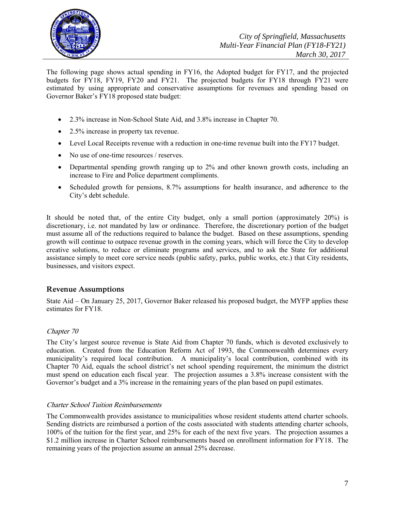

The following page shows actual spending in FY16, the Adopted budget for FY17, and the projected budgets for FY18, FY19, FY20 and FY21. The projected budgets for FY18 through FY21 were estimated by using appropriate and conservative assumptions for revenues and spending based on Governor Baker's FY18 proposed state budget:

- 2.3% increase in Non-School State Aid, and 3.8% increase in Chapter 70.
- 2.5% increase in property tax revenue.
- Level Local Receipts revenue with a reduction in one-time revenue built into the FY17 budget.
- No use of one-time resources / reserves.
- Departmental spending growth ranging up to 2% and other known growth costs, including an increase to Fire and Police department compliments.
- Scheduled growth for pensions, 8.7% assumptions for health insurance, and adherence to the City's debt schedule.

It should be noted that, of the entire City budget, only a small portion (approximately 20%) is discretionary, i.e. not mandated by law or ordinance. Therefore, the discretionary portion of the budget must assume all of the reductions required to balance the budget. Based on these assumptions, spending growth will continue to outpace revenue growth in the coming years, which will force the City to develop creative solutions, to reduce or eliminate programs and services, and to ask the State for additional assistance simply to meet core service needs (public safety, parks, public works, etc.) that City residents, businesses, and visitors expect.

# **Revenue Assumptions**

State Aid – On January 25, 2017, Governor Baker released his proposed budget, the MYFP applies these estimates for FY18.

# Chapter 70

The City's largest source revenue is State Aid from Chapter 70 funds, which is devoted exclusively to education. Created from the Education Reform Act of 1993, the Commonwealth determines every municipality's required local contribution. A municipality's local contribution, combined with its Chapter 70 Aid, equals the school district's net school spending requirement, the minimum the district must spend on education each fiscal year. The projection assumes a 3.8% increase consistent with the Governor's budget and a 3% increase in the remaining years of the plan based on pupil estimates.

# Charter School Tuition Reimbursements

The Commonwealth provides assistance to municipalities whose resident students attend charter schools. Sending districts are reimbursed a portion of the costs associated with students attending charter schools, 100% of the tuition for the first year, and 25% for each of the next five years. The projection assumes a \$1.2 million increase in Charter School reimbursements based on enrollment information for FY18. The remaining years of the projection assume an annual 25% decrease.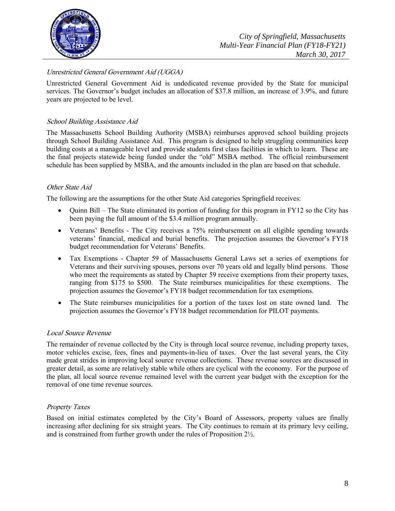

# Unrestricted General Government Aid (UGGA)

Unrestricted General Government Aid is undedicated revenue provided by the State for municipal services. The Governor's budget includes an allocation of \$37.8 million, an increase of 3.9%, and future years are projected to be level.

# School Building Assistance Aid

The Massachusetts School Building Authority (MSBA) reimburses approved school building projects through School Building Assistance Aid. This program is designed to help struggling communities keep building costs at a manageable level and provide students first class facilities in which to learn. These are the final projects statewide being funded under the "old" MSBA method. The official reimbursement schedule has been supplied by MSBA, and the amounts included in the plan are based on that schedule.

# Other State Aid

The following are the assumptions for the other State Aid categories Springfield receives:

- Quinn Bill The State eliminated its portion of funding for this program in FY12 so the City has been paying the full amount of the \$3.4 million program annually.
- Veterans' Benefits The City receives a 75% reimbursement on all eligible spending towards veterans' financial, medical and burial benefits. The projection assumes the Governor's FY18 budget recommendation for Veterans' Benefits.
- Tax Exemptions Chapter 59 of Massachusetts General Laws set a series of exemptions for Veterans and their surviving spouses, persons over 70 years old and legally blind persons. Those who meet the requirements as stated by Chapter 59 receive exemptions from their property taxes, ranging from \$175 to \$500. The State reimburses municipalities for these exemptions. The projection assumes the Governor's FY18 budget recommendation for tax exemptions.
- The State reimburses municipalities for a portion of the taxes lost on state owned land. The projection assumes the Governor's FY18 budget recommendation for PILOT payments.

#### Local Source Revenue

The remainder of revenue collected by the City is through local source revenue, including property taxes, motor vehicles excise, fees, fines and payments-in-lieu of taxes. Over the last several years, the City made great strides in improving local source revenue collections. These revenue sources are discussed in greater detail, as some are relatively stable while others are cyclical with the economy. For the purpose of the plan, all local source revenue remained level with the current year budget with the exception for the removal of one time revenue sources.

#### Property Taxes

Based on initial estimates completed by the City's Board of Assessors, property values are finally increasing after declining for six straight years. The City continues to remain at its primary levy ceiling, and is constrained from further growth under the rules of Proposition 2½.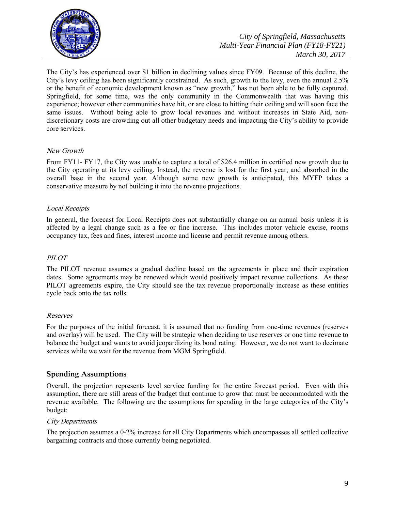

The City's has experienced over \$1 billion in declining values since FY09. Because of this decline, the City's levy ceiling has been significantly constrained. As such, growth to the levy, even the annual 2.5% or the benefit of economic development known as "new growth," has not been able to be fully captured. Springfield, for some time, was the only community in the Commonwealth that was having this experience; however other communities have hit, or are close to hitting their ceiling and will soon face the same issues. Without being able to grow local revenues and without increases in State Aid, nondiscretionary costs are crowding out all other budgetary needs and impacting the City's ability to provide core services.

# New Growth

From FY11- FY17, the City was unable to capture a total of \$26.4 million in certified new growth due to the City operating at its levy ceiling. Instead, the revenue is lost for the first year, and absorbed in the overall base in the second year. Although some new growth is anticipated, this MYFP takes a conservative measure by not building it into the revenue projections.

# Local Receipts

In general, the forecast for Local Receipts does not substantially change on an annual basis unless it is affected by a legal change such as a fee or fine increase. This includes motor vehicle excise, rooms occupancy tax, fees and fines, interest income and license and permit revenue among others.

#### PILOT

The PILOT revenue assumes a gradual decline based on the agreements in place and their expiration dates. Some agreements may be renewed which would positively impact revenue collections. As these PILOT agreements expire, the City should see the tax revenue proportionally increase as these entities cycle back onto the tax rolls.

#### Reserves

For the purposes of the initial forecast, it is assumed that no funding from one-time revenues (reserves and overlay) will be used. The City will be strategic when deciding to use reserves or one time revenue to balance the budget and wants to avoid jeopardizing its bond rating. However, we do not want to decimate services while we wait for the revenue from MGM Springfield.

# **Spending Assumptions**

Overall, the projection represents level service funding for the entire forecast period. Even with this assumption, there are still areas of the budget that continue to grow that must be accommodated with the revenue available. The following are the assumptions for spending in the large categories of the City's budget:

#### City Departments

The projection assumes a 0-2% increase for all City Departments which encompasses all settled collective bargaining contracts and those currently being negotiated.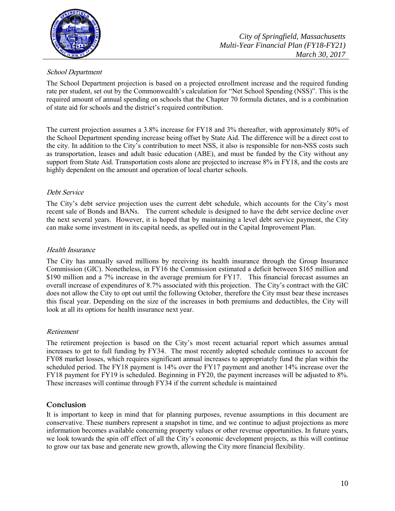

# School Department

The School Department projection is based on a projected enrollment increase and the required funding rate per student, set out by the Commonwealth's calculation for "Net School Spending (NSS)". This is the required amount of annual spending on schools that the Chapter 70 formula dictates, and is a combination of state aid for schools and the district's required contribution.

The current projection assumes a 3.8% increase for FY18 and 3% thereafter, with approximately 80% of the School Department spending increase being offset by State Aid. The difference will be a direct cost to the city. In addition to the City's contribution to meet NSS, it also is responsible for non-NSS costs such as transportation, leases and adult basic education (ABE), and must be funded by the City without any support from State Aid. Transportation costs alone are projected to increase 8% in FY18, and the costs are highly dependent on the amount and operation of local charter schools.

# Debt Service

The City's debt service projection uses the current debt schedule, which accounts for the City's most recent sale of Bonds and BANs. The current schedule is designed to have the debt service decline over the next several years. However, it is hoped that by maintaining a level debt service payment, the City can make some investment in its capital needs, as spelled out in the Capital Improvement Plan.

# Health Insurance

The City has annually saved millions by receiving its health insurance through the Group Insurance Commission (GIC). Nonetheless, in FY16 the Commission estimated a deficit between \$165 million and \$190 million and a 7% increase in the average premium for FY17. This financial forecast assumes an overall increase of expenditures of 8.7% associated with this projection. The City's contract with the GIC does not allow the City to opt out until the following October, therefore the City must bear these increases this fiscal year. Depending on the size of the increases in both premiums and deductibles, the City will look at all its options for health insurance next year.

# Retirement

The retirement projection is based on the City's most recent actuarial report which assumes annual increases to get to full funding by FY34. The most recently adopted schedule continues to account for FY08 market losses, which requires significant annual increases to appropriately fund the plan within the scheduled period. The FY18 payment is 14% over the FY17 payment and another 14% increase over the FY18 payment for FY19 is scheduled. Beginning in FY20, the payment increases will be adjusted to 8%. These increases will continue through FY34 if the current schedule is maintained

# **Conclusion**

It is important to keep in mind that for planning purposes, revenue assumptions in this document are conservative. These numbers represent a snapshot in time, and we continue to adjust projections as more information becomes available concerning property values or other revenue opportunities. In future years, we look towards the spin off effect of all the City's economic development projects, as this will continue to grow our tax base and generate new growth, allowing the City more financial flexibility.